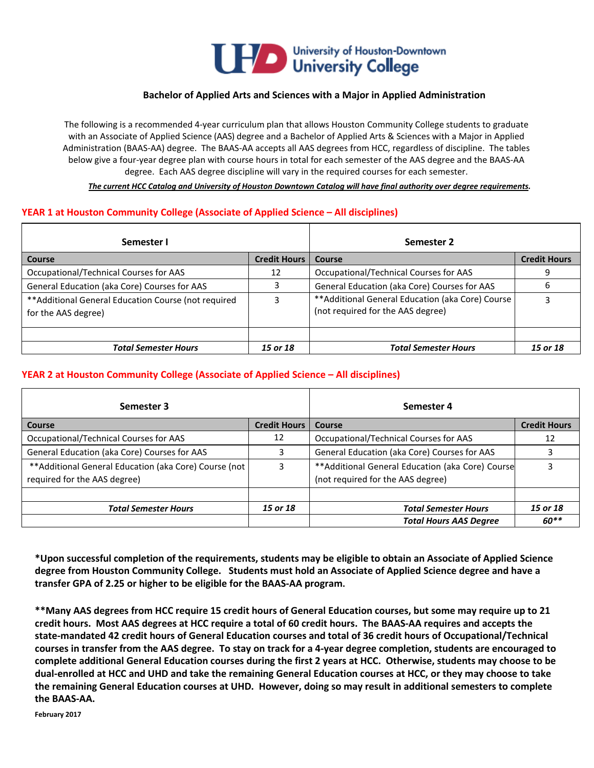

### **Bachelor of Applied Arts and Sciences with a Major in Applied Administration**

The following is a recommended 4-year curriculum plan that allows Houston Community College students to graduate with an Associate of Applied Science (AAS) degree and a Bachelor of Applied Arts & Sciences with a Major in Applied Administration (BAAS-AA) degree. The BAAS-AA accepts all AAS degrees from HCC, regardless of discipline. The tables below give a four-year degree plan with course hours in total for each semester of the AAS degree and the BAAS-AA degree. Each AAS degree discipline will vary in the required courses for each semester.

 *The current HCC Catalog and University of Houston Downtown Catalog will have final authority over degree requirements.*

### **YEAR 1 at Houston Community College (Associate of Applied Science – All disciplines)**

| Semester I                                                                  |                     | Semester 2                                                                             |                     |
|-----------------------------------------------------------------------------|---------------------|----------------------------------------------------------------------------------------|---------------------|
| Course                                                                      | <b>Credit Hours</b> | Course                                                                                 | <b>Credit Hours</b> |
| Occupational/Technical Courses for AAS                                      | 12                  | Occupational/Technical Courses for AAS                                                 | 9                   |
| General Education (aka Core) Courses for AAS                                | 3                   | General Education (aka Core) Courses for AAS                                           | ь                   |
| ** Additional General Education Course (not required<br>for the AAS degree) |                     | ** Additional General Education (aka Core) Course<br>(not required for the AAS degree) | 3                   |
| <b>Total Semester Hours</b>                                                 | 15 or 18            | <b>Total Semester Hours</b>                                                            | 15 or 18            |

## **YEAR 2 at Houston Community College (Associate of Applied Science – All disciplines)**

| Semester 3                                             |                     | Semester 4                                        |                     |
|--------------------------------------------------------|---------------------|---------------------------------------------------|---------------------|
| Course                                                 | <b>Credit Hours</b> | Course                                            | <b>Credit Hours</b> |
| Occupational/Technical Courses for AAS                 | 12                  | Occupational/Technical Courses for AAS            | 12                  |
| General Education (aka Core) Courses for AAS           |                     | General Education (aka Core) Courses for AAS      |                     |
| ** Additional General Education (aka Core) Course (not | 3                   | ** Additional General Education (aka Core) Course |                     |
| required for the AAS degree)                           |                     | (not required for the AAS degree)                 |                     |
|                                                        |                     |                                                   |                     |
| <b>Total Semester Hours</b>                            | 15 or 18            | <b>Total Semester Hours</b>                       | 15 or 18            |
|                                                        |                     | <b>Total Hours AAS Degree</b>                     | $60**$              |

**\*Upon successful completion of the requirements, students may be eligible to obtain an Associate of Applied Science degree from Houston Community College. Students must hold an Associate of Applied Science degree and have a transfer GPA of 2.25 or higher to be eligible for the BAAS-AA program.**

**\*\*Many AAS degrees from HCC require 15 credit hours of General Education courses, but some may require up to 21 credit hours. Most AAS degrees at HCC require a total of 60 credit hours. The BAAS-AA requires and accepts the state-mandated 42 credit hours of General Education courses and total of 36 credit hours of Occupational/Technical courses in transfer from the AAS degree. To stay on track for a 4-year degree completion, students are encouraged to complete additional General Education courses during the first 2 years at HCC. Otherwise, students may choose to be dual-enrolled at HCC and UHD and take the remaining General Education courses at HCC, or they may choose to take the remaining General Education courses at UHD. However, doing so may result in additional semesters to complete the BAAS-AA.**

**February 2017**